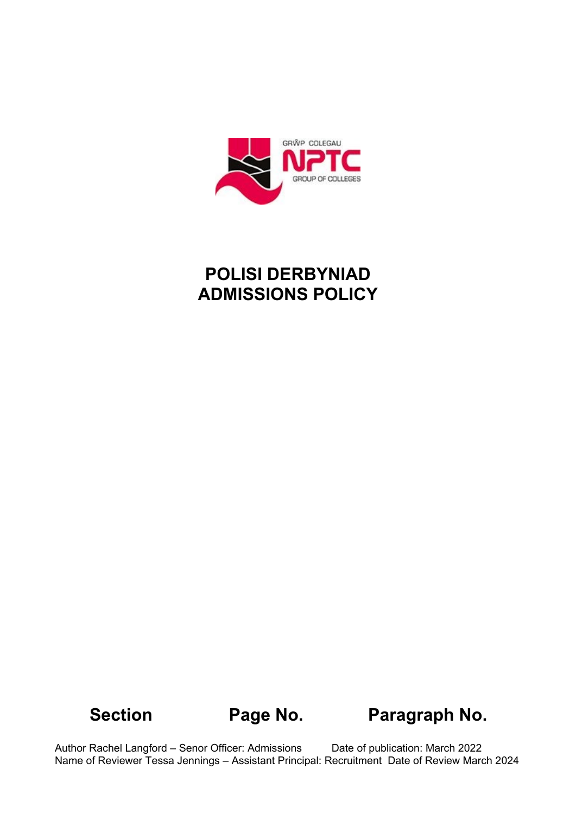

# **POLISI DERBYNIAD ADMISSIONS POLICY**

# **Section Page No. Paragraph No.**

Author Rachel Langford – Senor Officer: Admissions Date of publication: March 2022 Name of Reviewer Tessa Jennings – Assistant Principal: Recruitment Date of Review March 2024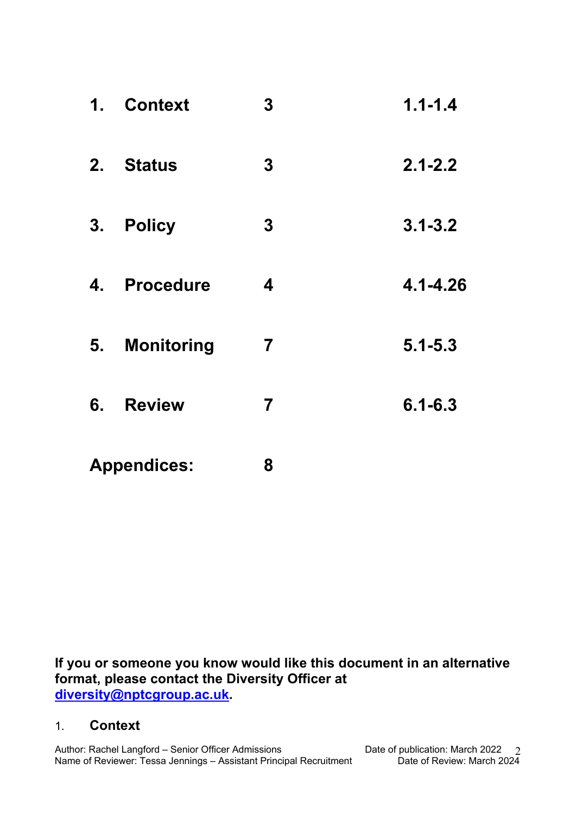| 1 <sub>1</sub>     | <b>Context</b>    | $\boldsymbol{3}$        | $1.1 - 1.4$  |
|--------------------|-------------------|-------------------------|--------------|
|                    | 2. Status         | $\boldsymbol{3}$        | $2.1 - 2.2$  |
|                    | 3. Policy         | $\boldsymbol{3}$        | $3.1 - 3.2$  |
| 4.                 | <b>Procedure</b>  | $\boldsymbol{4}$        | $4.1 - 4.26$ |
| 5.                 | <b>Monitoring</b> | $\overline{\mathbf{7}}$ | $5.1 - 5.3$  |
| 6.                 | <b>Review</b>     | $\overline{7}$          | $6.1 - 6.3$  |
| <b>Appendices:</b> |                   | 8                       |              |

**If you or someone you know would like this document in an alternative format, please contact the Diversity Officer at [diversity@nptcgroup.ac.uk.](mailto:diversity@nptcgroup.ac.uk)** 

#### 1. **Context**

Author: Rachel Langford – Senior Officer Admissions Date of publication: March 2022 Name of Reviewer: Tessa Jennings – Assistant Principal Recruitment Date of Review: March 2024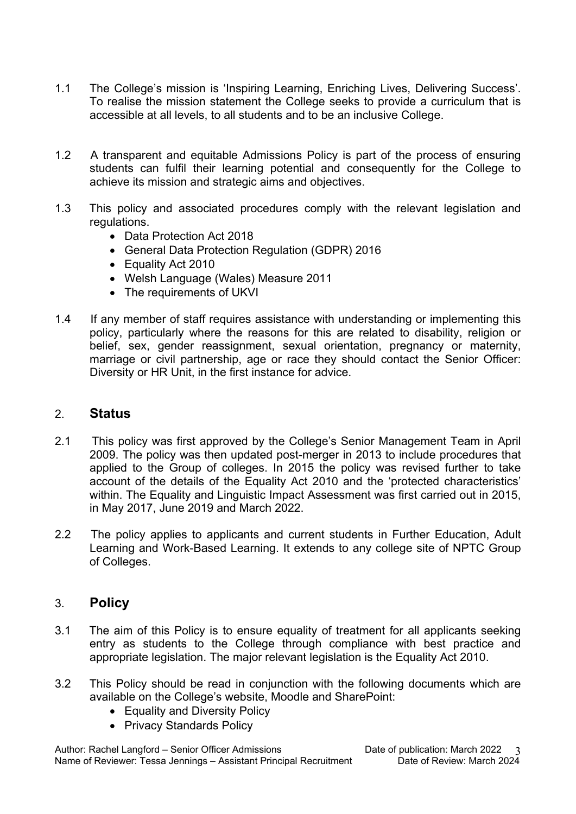- 1.1 The College's mission is 'Inspiring Learning, Enriching Lives, Delivering Success'. To realise the mission statement the College seeks to provide a curriculum that is accessible at all levels, to all students and to be an inclusive College.
- 1.2 A transparent and equitable Admissions Policy is part of the process of ensuring students can fulfil their learning potential and consequently for the College to achieve its mission and strategic aims and objectives.
- 1.3 This policy and associated procedures comply with the relevant legislation and regulations.
	- Data Protection Act 2018
	- General Data Protection Regulation (GDPR) 2016
	- Equality Act 2010
	- Welsh Language (Wales) Measure 2011
	- The requirements of UKVI
- 1.4 If any member of staff requires assistance with understanding or implementing this policy, particularly where the reasons for this are related to disability, religion or belief, sex, gender reassignment, sexual orientation, pregnancy or maternity, marriage or civil partnership, age or race they should contact the Senior Officer: Diversity or HR Unit, in the first instance for advice.

#### 2. **Status**

- 2.1 This policy was first approved by the College's Senior Management Team in April 2009. The policy was then updated post-merger in 2013 to include procedures that applied to the Group of colleges. In 2015 the policy was revised further to take account of the details of the Equality Act 2010 and the 'protected characteristics' within. The Equality and Linguistic Impact Assessment was first carried out in 2015, in May 2017, June 2019 and March 2022.
- 2.2 The policy applies to applicants and current students in Further Education, Adult Learning and Work-Based Learning. It extends to any college site of NPTC Group of Colleges.

#### 3. **Policy**

- 3.1 The aim of this Policy is to ensure equality of treatment for all applicants seeking entry as students to the College through compliance with best practice and appropriate legislation. The major relevant legislation is the Equality Act 2010.
- 3.2 This Policy should be read in conjunction with the following documents which are available on the College's website, Moodle and SharePoint:
	- Equality and Diversity Policy
	- Privacy Standards Policy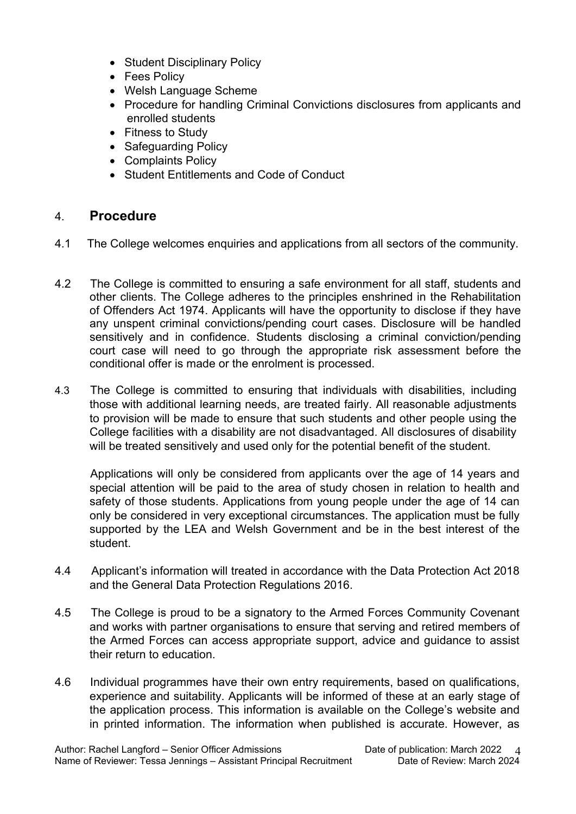- Student Disciplinary Policy
- Fees Policy
- Welsh Language Scheme
- Procedure for handling Criminal Convictions disclosures from applicants and enrolled students
- Fitness to Study
- Safeguarding Policy
- Complaints Policy
- Student Entitlements and Code of Conduct

### 4. **Procedure**

- 4.1 The College welcomes enquiries and applications from all sectors of the community.
- 4.2 The College is committed to ensuring a safe environment for all staff, students and other clients. The College adheres to the principles enshrined in the Rehabilitation of Offenders Act 1974. Applicants will have the opportunity to disclose if they have any unspent criminal convictions/pending court cases. Disclosure will be handled sensitively and in confidence. Students disclosing a criminal conviction/pending court case will need to go through the appropriate risk assessment before the conditional offer is made or the enrolment is processed.
- 4.3 The College is committed to ensuring that individuals with disabilities, including those with additional learning needs, are treated fairly. All reasonable adjustments to provision will be made to ensure that such students and other people using the College facilities with a disability are not disadvantaged. All disclosures of disability will be treated sensitively and used only for the potential benefit of the student.

 Applications will only be considered from applicants over the age of 14 years and special attention will be paid to the area of study chosen in relation to health and safety of those students. Applications from young people under the age of 14 can only be considered in very exceptional circumstances. The application must be fully supported by the LEA and Welsh Government and be in the best interest of the student.

- 4.4 Applicant's information will treated in accordance with the Data Protection Act 2018 and the General Data Protection Regulations 2016.
- 4.5 The College is proud to be a signatory to the Armed Forces Community Covenant and works with partner organisations to ensure that serving and retired members of the Armed Forces can access appropriate support, advice and guidance to assist their return to education.
- 4.6 Individual programmes have their own entry requirements, based on qualifications, experience and suitability. Applicants will be informed of these at an early stage of the application process. This information is available on the College's website and in printed information. The information when published is accurate. However, as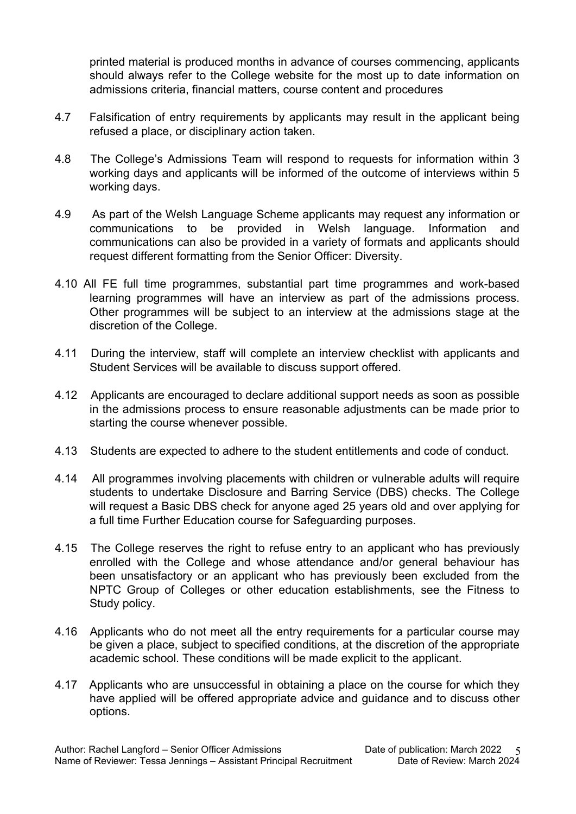printed material is produced months in advance of courses commencing, applicants should always refer to the College website for the most up to date information on admissions criteria, financial matters, course content and procedures

- 4.7 Falsification of entry requirements by applicants may result in the applicant being refused a place, or disciplinary action taken.
- 4.8 The College's Admissions Team will respond to requests for information within 3 working days and applicants will be informed of the outcome of interviews within 5 working days.
- 4.9 As part of the Welsh Language Scheme applicants may request any information or communications to be provided in Welsh language. Information and communications can also be provided in a variety of formats and applicants should request different formatting from the Senior Officer: Diversity.
- 4.10 All FE full time programmes, substantial part time programmes and work-based learning programmes will have an interview as part of the admissions process. Other programmes will be subject to an interview at the admissions stage at the discretion of the College.
- 4.11 During the interview, staff will complete an interview checklist with applicants and Student Services will be available to discuss support offered.
- 4.12 Applicants are encouraged to declare additional support needs as soon as possible in the admissions process to ensure reasonable adjustments can be made prior to starting the course whenever possible.
- 4.13 Students are expected to adhere to the student entitlements and code of conduct.
- 4.14 All programmes involving placements with children or vulnerable adults will require students to undertake Disclosure and Barring Service (DBS) checks. The College will request a Basic DBS check for anyone aged 25 years old and over applying for a full time Further Education course for Safeguarding purposes.
- 4.15 The College reserves the right to refuse entry to an applicant who has previously enrolled with the College and whose attendance and/or general behaviour has been unsatisfactory or an applicant who has previously been excluded from the NPTC Group of Colleges or other education establishments, see the Fitness to Study policy.
- 4.16 Applicants who do not meet all the entry requirements for a particular course may be given a place, subject to specified conditions, at the discretion of the appropriate academic school. These conditions will be made explicit to the applicant.
- 4.17 Applicants who are unsuccessful in obtaining a place on the course for which they have applied will be offered appropriate advice and guidance and to discuss other options.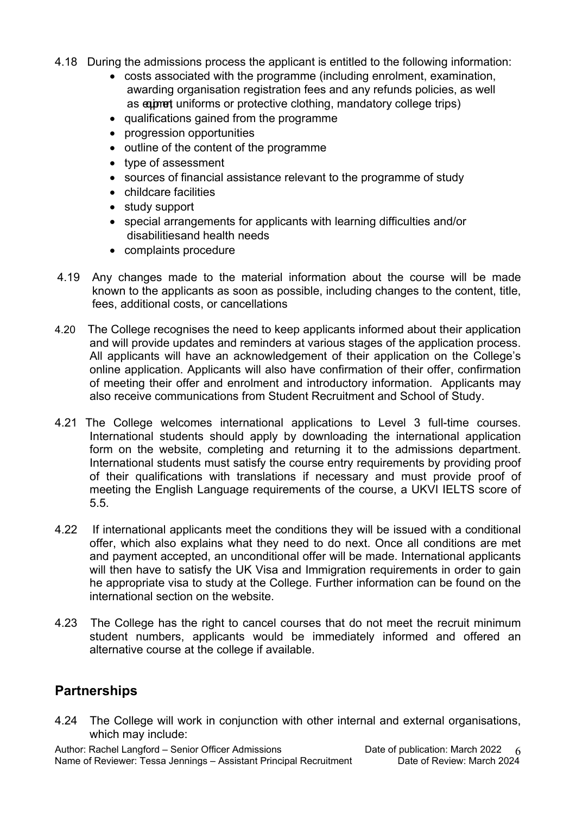- 4.18 During the admissions process the applicant is entitled to the following information:
	- costs associated with the programme (including enrolment, examination, awarding organisation registration fees and any refunds policies, as well as externational uniforms or protective clothing, mandatory college trips)
	- qualifications gained from the programme
	- progression opportunities
	- outline of the content of the programme
	- type of assessment
	- sources of financial assistance relevant to the programme of study
	- childcare facilities
	- study support
	- special arrangements for applicants with learning difficulties and/or disabilitiesand health needs
	- complaints procedure
- 4.19 Any changes made to the material information about the course will be made known to the applicants as soon as possible, including changes to the content, title, fees, additional costs, or cancellations
- 4.20 The College recognises the need to keep applicants informed about their application and will provide updates and reminders at various stages of the application process. All applicants will have an acknowledgement of their application on the College's online application. Applicants will also have confirmation of their offer, confirmation of meeting their offer and enrolment and introductory information. Applicants may also receive communications from Student Recruitment and School of Study.
- 4.21 The College welcomes international applications to Level 3 full-time courses. International students should apply by downloading the international application form on the website, completing and returning it to the admissions department. International students must satisfy the course entry requirements by providing proof of their qualifications with translations if necessary and must provide proof of meeting the English Language requirements of the course, a UKVI IELTS score of 5.5.
- 4.22 If international applicants meet the conditions they will be issued with a conditional offer, which also explains what they need to do next. Once all conditions are met and payment accepted, an unconditional offer will be made. International applicants will then have to satisfy the UK Visa and Immigration requirements in order to gain he appropriate visa to study at the College. Further information can be found on the international section on the website.
- 4.23 The College has the right to cancel courses that do not meet the recruit minimum student numbers, applicants would be immediately informed and offered an alternative course at the college if available.

## **Partnerships**

4.24 The College will work in conjunction with other internal and external organisations, which may include: